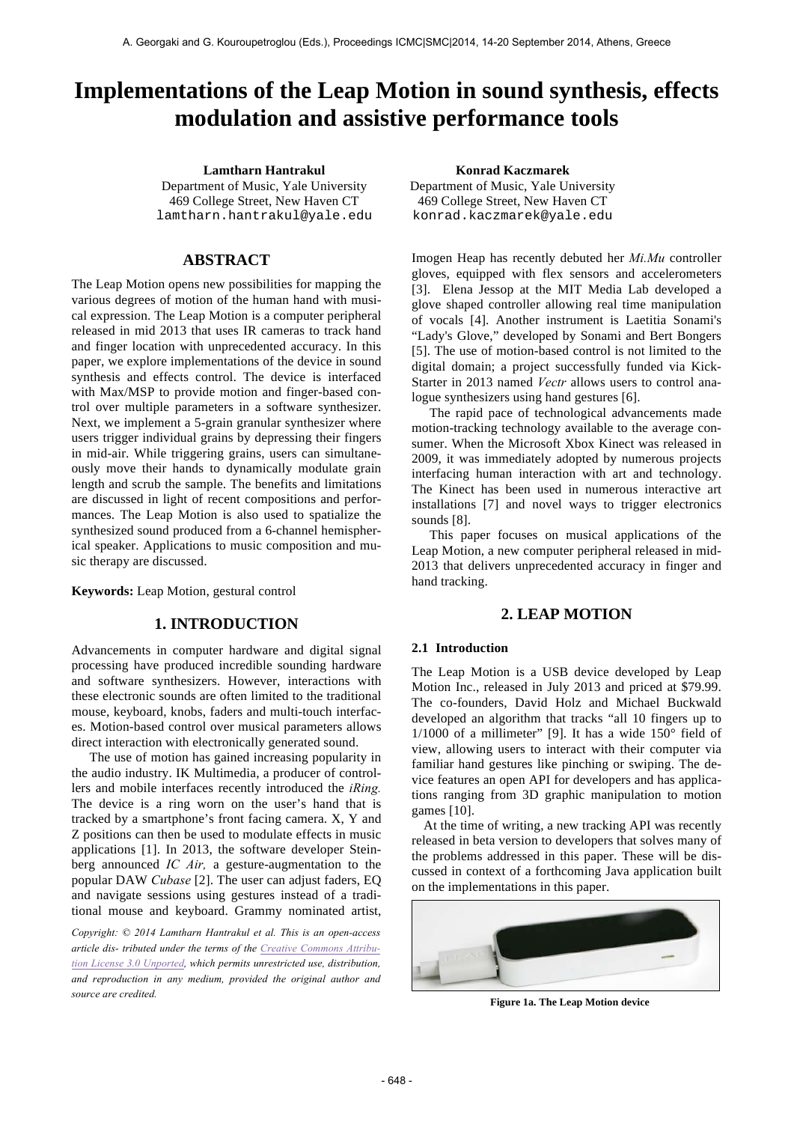# **Implementations of the Leap Motion in sound synthesis, effects modulation and assistive performance tools**

Department of Music, Yale University 469 College Street, New Haven CT lamtharn.hantrakul@yale.edu

# **ABSTRACT**

The Leap Motion opens new possibilities for mapping the various degrees of motion of the human hand with musical expression. The Leap Motion is a computer peripheral released in mid 2013 that uses IR cameras to track hand and finger location with unprecedented accuracy. In this paper, we explore implementations of the device in sound synthesis and effects control. The device is interfaced with Max/MSP to provide motion and finger-based control over multiple parameters in a software synthesizer. Next, we implement a 5-grain granular synthesizer where users trigger individual grains by depressing their fingers in mid-air. While triggering grains, users can simultaneously move their hands to dynamically modulate grain length and scrub the sample. The benefits and limitations are discussed in light of recent compositions and performances. The Leap Motion is also used to spatialize the synthesized sound produced from a 6-channel hemispherical speaker. Applications to music composition and music therapy are discussed.

**Keywords:** Leap Motion, gestural control

# **1. INTRODUCTION**

Advancements in computer hardware and digital signal processing have produced incredible sounding hardware and software synthesizers. However, interactions with these electronic sounds are often limited to the traditional mouse, keyboard, knobs, faders and multi-touch interfaces. Motion-based control over musical parameters allows direct interaction with electronically generated sound.

The use of motion has gained increasing popularity in the audio industry. IK Multimedia, a producer of controllers and mobile interfaces recently introduced the *iRing.*  The device is a ring worn on the user's hand that is tracked by a smartphone's front facing camera. X, Y and Z positions can then be used to modulate effects in music applications [1]. In 2013, the software developer Steinberg announced *IC Air,* a gesture-augmentation to the popular DAW *Cubase* [2]. The user can adjust faders, EQ and navigate sessions using gestures instead of a traditional mouse and keyboard. Grammy nominated artist,

*Copyright: © 2014 Lamtharn Hantrakul et al. This is an open-access article dis- tributed under the terms of the Creative Commons Attribution License 3.0 Unported, which permits unrestricted use, distribution, and reproduction in any medium, provided the original author and source are credited.*

**Lamtharn Hantrakul Konrad Kaczmarek** Department of Music, Yale University 469 College Street, New Haven CT konrad.kaczmarek@yale.edu

> Imogen Heap has recently debuted her *Mi.Mu* controller gloves, equipped with flex sensors and accelerometers [3]. Elena Jessop at the MIT Media Lab developed a glove shaped controller allowing real time manipulation of vocals [4]. Another instrument is Laetitia Sonami's "Lady's Glove," developed by Sonami and Bert Bongers [5]. The use of motion-based control is not limited to the digital domain; a project successfully funded via Kick-Starter in 2013 named *Vectr* allows users to control analogue synthesizers using hand gestures [6].

> The rapid pace of technological advancements made motion-tracking technology available to the average consumer. When the Microsoft Xbox Kinect was released in 2009, it was immediately adopted by numerous projects interfacing human interaction with art and technology. The Kinect has been used in numerous interactive art installations [7] and novel ways to trigger electronics sounds [8].

> This paper focuses on musical applications of the Leap Motion, a new computer peripheral released in mid-2013 that delivers unprecedented accuracy in finger and hand tracking.

## **2. LEAP MOTION**

### **2.1 Introduction**

The Leap Motion is a USB device developed by Leap Motion Inc., released in July 2013 and priced at \$79.99. The co-founders, David Holz and Michael Buckwald developed an algorithm that tracks "all 10 fingers up to  $1/1000$  of a millimeter" [9]. It has a wide  $150^\circ$  field of view, allowing users to interact with their computer via familiar hand gestures like pinching or swiping. The device features an open API for developers and has applications ranging from 3D graphic manipulation to motion games [10].

At the time of writing, a new tracking API was recently released in beta version to developers that solves many of the problems addressed in this paper. These will be discussed in context of a forthcoming Java application built on the implementations in this paper.



**Figure 1a. The Leap Motion device**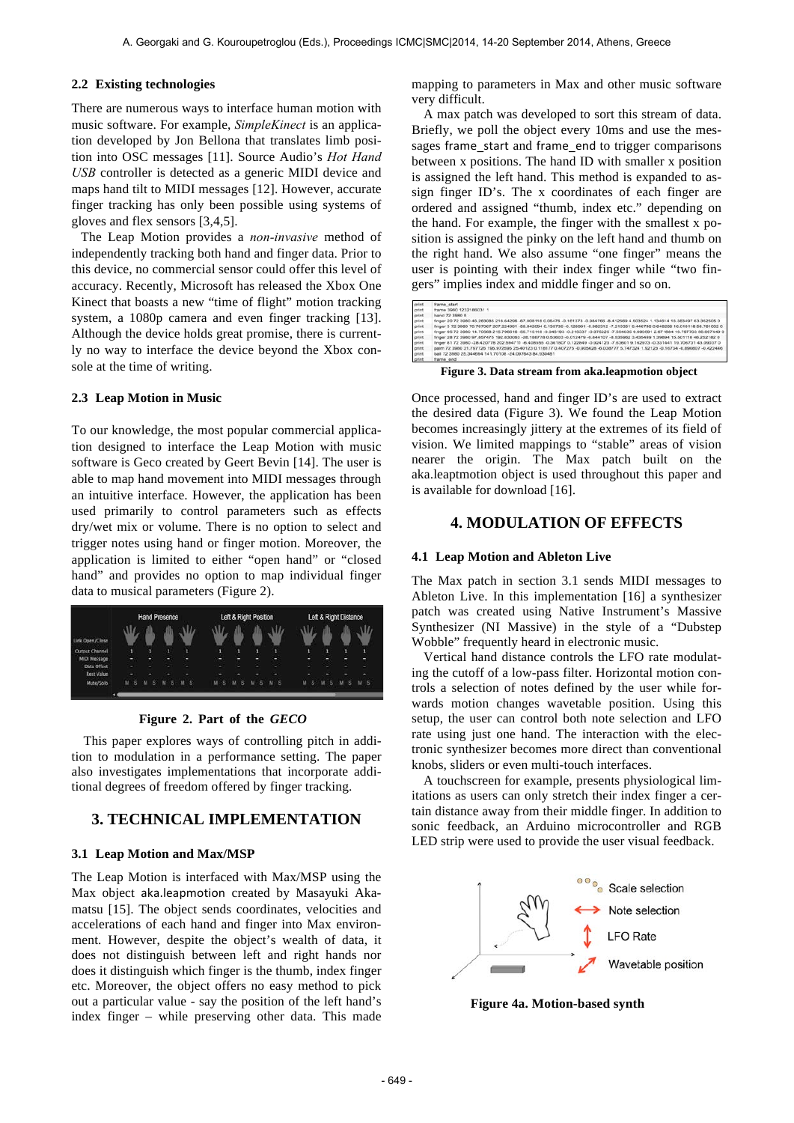### **2.2 Existing technologies**

There are numerous ways to interface human motion with music software. For example, *SimpleKinect* is an application developed by Jon Bellona that translates limb position into OSC messages [11]. Source Audio's *Hot Hand USB* controller is detected as a generic MIDI device and maps hand tilt to MIDI messages [12]. However, accurate finger tracking has only been possible using systems of gloves and flex sensors [3,4,5].

The Leap Motion provides a *non-invasive* method of independently tracking both hand and finger data. Prior to this device, no commercial sensor could offer this level of accuracy. Recently, Microsoft has released the Xbox One Kinect that boasts a new "time of flight" motion tracking system, a 1080p camera and even finger tracking [13]. Although the device holds great promise, there is currently no way to interface the device beyond the Xbox console at the time of writing.

### **2.3 Leap Motion in Music**

To our knowledge, the most popular commercial application designed to interface the Leap Motion with music software is Geco created by Geert Bevin [14]. The user is able to map hand movement into MIDI messages through an intuitive interface. However, the application has been used primarily to control parameters such as effects dry/wet mix or volume. There is no option to select and trigger notes using hand or finger motion. Moreover, the application is limited to either "open hand" or "closed hand" and provides no option to map individual finger data to musical parameters (Figure 2).



#### **Figure 2. Part of the** *GECO*

This paper explores ways of controlling pitch in addition to modulation in a performance setting. The paper also investigates implementations that incorporate additional degrees of freedom offered by finger tracking.

### **3. TECHNICAL IMPLEMENTATION**

### **3.1 Leap Motion and Max/MSP**

The Leap Motion is interfaced with Max/MSP using the Max object aka.leapmotion created by Masayuki Akamatsu [15]. The object sends coordinates, velocities and accelerations of each hand and finger into Max environment. However, despite the object's wealth of data, it does not distinguish between left and right hands nor does it distinguish which finger is the thumb, index finger etc. Moreover, the object offers no easy method to pick out a particular value - say the position of the left hand's index finger – while preserving other data. This made

mapping to parameters in Max and other music software very difficult.

A max patch was developed to sort this stream of data. Briefly, we poll the object every 10ms and use the messages frame\_start and frame\_end to trigger comparisons between x positions. The hand ID with smaller x position is assigned the left hand. This method is expanded to assign finger ID's. The x coordinates of each finger are ordered and assigned "thumb, index etc." depending on the hand. For example, the finger with the smallest x position is assigned the pinky on the left hand and thumb on the right hand. We also assume "one finger" means the user is pointing with their index finger while "two fingers" implies index and middle finger and so on.

| print                                                                | frame start                                                                                                                      |
|----------------------------------------------------------------------|----------------------------------------------------------------------------------------------------------------------------------|
| print<br>print<br>print<br>print<br>print<br>print<br>print<br>print | frame 3960 1232186031 1                                                                                                          |
|                                                                      | hand 72 3980 5                                                                                                                   |
|                                                                      | finger 20 72 3980 46.283085 216.64296 -67.008118 0.06476 -0.161373 -0.984766 -8.412569 4.503524 1.134614 16.383497 63.352505 0   |
|                                                                      | finger 3 72 3980 70.767067 207 224991 -58.842094 0.135739 -0.128991 -0.982312 -7.210351 9.446795 0.648256 16.018118 56.761002 0  |
|                                                                      | finger 95 72 3980 14.70568 215.796616 -56.715118 -0.046193 -0.216337 -0.975225 -7.554035 9.690591 2.671884 16.797703 56.697449 0 |
|                                                                      | finger 28 72 3980 97.857475 192.830063 -28.188778 0.53603 -0.012479 -0.844107 -8.535962 3.435469 1.39894 15.501118 46.252182 0   |
|                                                                      | finger 81 72 3980 -28.420778 202.594711 -6.408555 -0.361807 0.122849 -0.924123 -7.63601 9.162973 -0.331441 19.706701 43.09037 0  |
|                                                                      | palm 72 3980 31 797726 195 972595 25 40123 0.118177 0.407275 -0.905628 -6.038777 5.747324 1.92123 -0.16734 -0.890807 -0.422446   |
|                                                                      | ball 72 3980 25 344694 141,70108 -24 097643 84 930481                                                                            |
|                                                                      | frame end                                                                                                                        |

**Figure 3. Data stream from aka.leapmotion object**

Once processed, hand and finger ID's are used to extract the desired data (Figure 3). We found the Leap Motion becomes increasingly jittery at the extremes of its field of vision. We limited mappings to "stable" areas of vision nearer the origin. The Max patch built on the aka.leaptmotion object is used throughout this paper and is available for download [16].

# **4. MODULATION OF EFFECTS**

#### **4.1 Leap Motion and Ableton Live**

The Max patch in section 3.1 sends MIDI messages to Ableton Live. In this implementation [16] a synthesizer patch was created using Native Instrument's Massive Synthesizer (NI Massive) in the style of a "Dubstep Wobble" frequently heard in electronic music.

Vertical hand distance controls the LFO rate modulating the cutoff of a low-pass filter. Horizontal motion controls a selection of notes defined by the user while forwards motion changes wavetable position. Using this setup, the user can control both note selection and LFO rate using just one hand. The interaction with the electronic synthesizer becomes more direct than conventional knobs, sliders or even multi-touch interfaces.

A touchscreen for example, presents physiological limitations as users can only stretch their index finger a certain distance away from their middle finger. In addition to sonic feedback, an Arduino microcontroller and RGB LED strip were used to provide the user visual feedback.



**Figure 4a. Motion-based synth**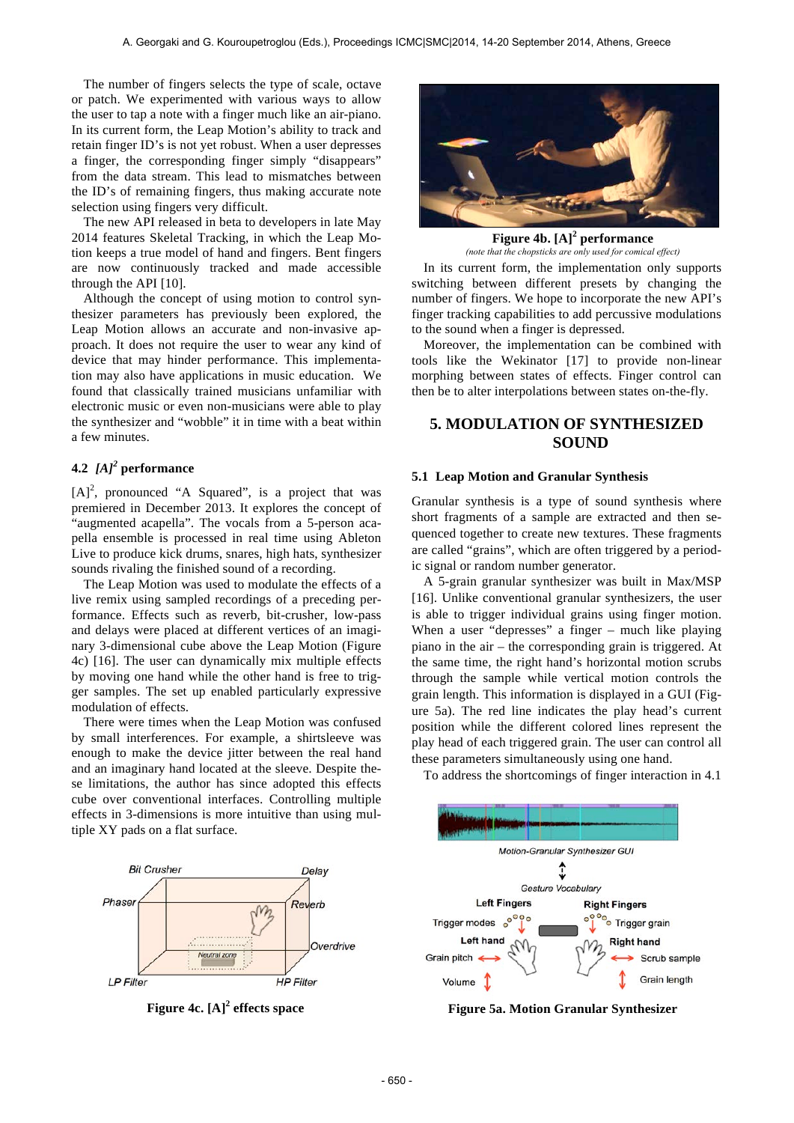The number of fingers selects the type of scale, octave or patch. We experimented with various ways to allow the user to tap a note with a finger much like an air-piano. In its current form, the Leap Motion's ability to track and retain finger ID's is not yet robust. When a user depresses a finger, the corresponding finger simply "disappears" from the data stream. This lead to mismatches between the ID's of remaining fingers, thus making accurate note selection using fingers very difficult.

The new API released in beta to developers in late May 2014 features Skeletal Tracking, in which the Leap Motion keeps a true model of hand and fingers. Bent fingers are now continuously tracked and made accessible through the API [10].

Although the concept of using motion to control synthesizer parameters has previously been explored, the Leap Motion allows an accurate and non-invasive approach. It does not require the user to wear any kind of device that may hinder performance. This implementation may also have applications in music education. We found that classically trained musicians unfamiliar with electronic music or even non-musicians were able to play the synthesizer and "wobble" it in time with a beat within a few minutes.

# **4.2** *[A]<sup>2</sup>* **performance**

 $[A]^2$ , pronounced "A Squared", is a project that was premiered in December 2013. It explores the concept of "augmented acapella". The vocals from a 5-person acapella ensemble is processed in real time using Ableton Live to produce kick drums, snares, high hats, synthesizer sounds rivaling the finished sound of a recording.

The Leap Motion was used to modulate the effects of a live remix using sampled recordings of a preceding performance. Effects such as reverb, bit-crusher, low-pass and delays were placed at different vertices of an imaginary 3-dimensional cube above the Leap Motion (Figure 4c) [16]. The user can dynamically mix multiple effects by moving one hand while the other hand is free to trigger samples. The set up enabled particularly expressive modulation of effects.

There were times when the Leap Motion was confused by small interferences. For example, a shirtsleeve was enough to make the device jitter between the real hand and an imaginary hand located at the sleeve. Despite these limitations, the author has since adopted this effects cube over conventional interfaces. Controlling multiple effects in 3-dimensions is more intuitive than using multiple XY pads on a flat surface.





**Figure 4b. [A]<sup>2</sup> performance**

In its current form, the implementation only supports switching between different presets by changing the number of fingers. We hope to incorporate the new API's finger tracking capabilities to add percussive modulations to the sound when a finger is depressed. *(note that the chopsticks are only used for comical effect)*

Moreover, the implementation can be combined with tools like the Wekinator [17] to provide non-linear morphing between states of effects. Finger control can then be to alter interpolations between states on-the-fly.

# **5. MODULATION OF SYNTHESIZED SOUND**

#### **5.1 Leap Motion and Granular Synthesis**

Granular synthesis is a type of sound synthesis where short fragments of a sample are extracted and then sequenced together to create new textures. These fragments are called "grains", which are often triggered by a periodic signal or random number generator.

A 5-grain granular synthesizer was built in Max/MSP [16]. Unlike conventional granular synthesizers, the user is able to trigger individual grains using finger motion. When a user "depresses" a finger – much like playing piano in the air – the corresponding grain is triggered. At the same time, the right hand's horizontal motion scrubs through the sample while vertical motion controls the grain length. This information is displayed in a GUI (Figure 5a). The red line indicates the play head's current position while the different colored lines represent the play head of each triggered grain. The user can control all these parameters simultaneously using one hand.

To address the shortcomings of finger interaction in 4.1



**Figure 4c. [A]<sup>2</sup> effects space Figure 5a. Motion Granular Synthesizer**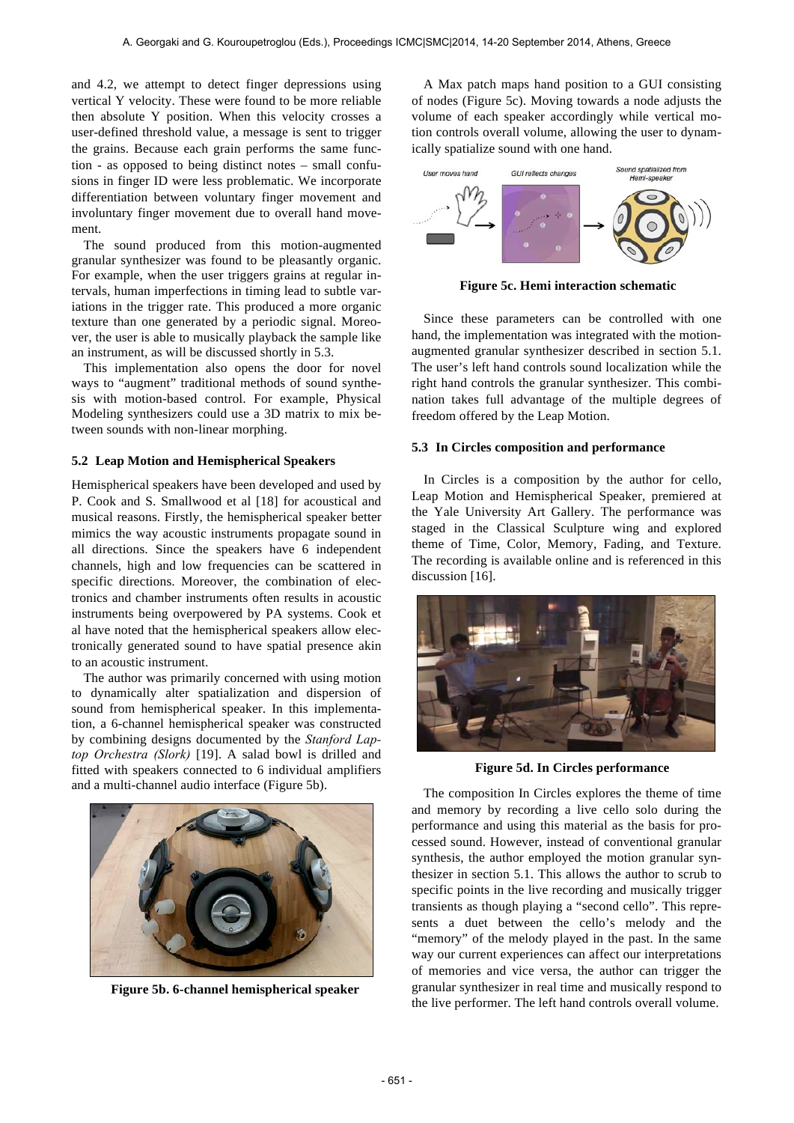and 4.2, we attempt to detect finger depressions using vertical Y velocity. These were found to be more reliable then absolute Y position. When this velocity crosses a user-defined threshold value, a message is sent to trigger the grains. Because each grain performs the same function - as opposed to being distinct notes – small confusions in finger ID were less problematic. We incorporate differentiation between voluntary finger movement and involuntary finger movement due to overall hand movement.

The sound produced from this motion-augmented granular synthesizer was found to be pleasantly organic. For example, when the user triggers grains at regular intervals, human imperfections in timing lead to subtle variations in the trigger rate. This produced a more organic texture than one generated by a periodic signal. Moreover, the user is able to musically playback the sample like an instrument, as will be discussed shortly in 5.3.

This implementation also opens the door for novel ways to "augment" traditional methods of sound synthesis with motion-based control. For example, Physical Modeling synthesizers could use a 3D matrix to mix between sounds with non-linear morphing.

### **5.2 Leap Motion and Hemispherical Speakers**

Hemispherical speakers have been developed and used by P. Cook and S. Smallwood et al [18] for acoustical and musical reasons. Firstly, the hemispherical speaker better mimics the way acoustic instruments propagate sound in all directions. Since the speakers have 6 independent channels, high and low frequencies can be scattered in specific directions. Moreover, the combination of electronics and chamber instruments often results in acoustic instruments being overpowered by PA systems. Cook et al have noted that the hemispherical speakers allow electronically generated sound to have spatial presence akin to an acoustic instrument.

The author was primarily concerned with using motion to dynamically alter spatialization and dispersion of sound from hemispherical speaker. In this implementation, a 6-channel hemispherical speaker was constructed by combining designs documented by the *Stanford Laptop Orchestra (Slork)* [19]. A salad bowl is drilled and fitted with speakers connected to 6 individual amplifiers and a multi-channel audio interface (Figure 5b).



**Figure 5b. 6-channel hemispherical speaker**

A Max patch maps hand position to a GUI consisting of nodes (Figure 5c). Moving towards a node adjusts the volume of each speaker accordingly while vertical motion controls overall volume, allowing the user to dynamically spatialize sound with one hand.



**Figure 5c. Hemi interaction schematic**

Since these parameters can be controlled with one hand, the implementation was integrated with the motionaugmented granular synthesizer described in section 5.1. The user's left hand controls sound localization while the right hand controls the granular synthesizer. This combination takes full advantage of the multiple degrees of freedom offered by the Leap Motion.

#### **5.3 In Circles composition and performance**

In Circles is a composition by the author for cello, Leap Motion and Hemispherical Speaker, premiered at the Yale University Art Gallery. The performance was staged in the Classical Sculpture wing and explored theme of Time, Color, Memory, Fading, and Texture. The recording is available online and is referenced in this discussion [16].



**Figure 5d. In Circles performance**

The composition In Circles explores the theme of time and memory by recording a live cello solo during the performance and using this material as the basis for processed sound. However, instead of conventional granular synthesis, the author employed the motion granular synthesizer in section 5.1. This allows the author to scrub to specific points in the live recording and musically trigger transients as though playing a "second cello". This represents a duet between the cello's melody and the "memory" of the melody played in the past. In the same way our current experiences can affect our interpretations of memories and vice versa, the author can trigger the granular synthesizer in real time and musically respond to the live performer. The left hand controls overall volume.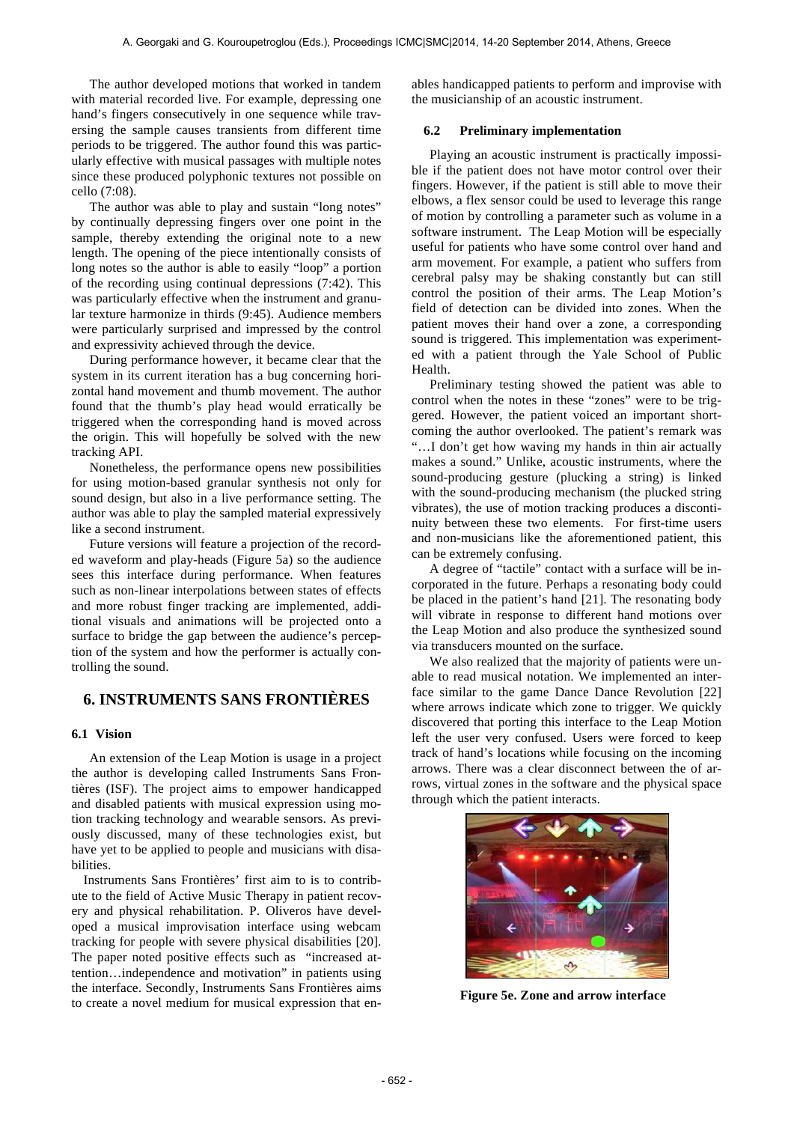The author developed motions that worked in tandem with material recorded live. For example, depressing one hand's fingers consecutively in one sequence while traversing the sample causes transients from different time periods to be triggered. The author found this was particularly effective with musical passages with multiple notes since these produced polyphonic textures not possible on cello (7:08).

The author was able to play and sustain "long notes" by continually depressing fingers over one point in the sample, thereby extending the original note to a new length. The opening of the piece intentionally consists of long notes so the author is able to easily "loop" a portion of the recording using continual depressions (7:42). This was particularly effective when the instrument and granular texture harmonize in thirds (9:45). Audience members were particularly surprised and impressed by the control and expressivity achieved through the device.

During performance however, it became clear that the system in its current iteration has a bug concerning horizontal hand movement and thumb movement. The author found that the thumb's play head would erratically be triggered when the corresponding hand is moved across the origin. This will hopefully be solved with the new tracking API.

Nonetheless, the performance opens new possibilities for using motion-based granular synthesis not only for sound design, but also in a live performance setting. The author was able to play the sampled material expressively like a second instrument.

Future versions will feature a projection of the recorded waveform and play-heads (Figure 5a) so the audience sees this interface during performance. When features such as non-linear interpolations between states of effects and more robust finger tracking are implemented, additional visuals and animations will be projected onto a surface to bridge the gap between the audience's perception of the system and how the performer is actually controlling the sound.

# **6. INSTRUMENTS SANS FRONTIÈRES**

### **6.1 Vision**

An extension of the Leap Motion is usage in a project the author is developing called Instruments Sans Frontières (ISF). The project aims to empower handicapped and disabled patients with musical expression using motion tracking technology and wearable sensors. As previously discussed, many of these technologies exist, but have yet to be applied to people and musicians with disa**bilities** 

Instruments Sans Frontières' first aim to is to contribute to the field of Active Music Therapy in patient recovery and physical rehabilitation. P. Oliveros have developed a musical improvisation interface using webcam tracking for people with severe physical disabilities [20]. The paper noted positive effects such as "increased attention…independence and motivation" in patients using the interface. Secondly, Instruments Sans Frontières aims to create a novel medium for musical expression that enables handicapped patients to perform and improvise with the musicianship of an acoustic instrument.

#### **6.2 Preliminary implementation**

Playing an acoustic instrument is practically impossible if the patient does not have motor control over their fingers. However, if the patient is still able to move their elbows, a flex sensor could be used to leverage this range of motion by controlling a parameter such as volume in a software instrument. The Leap Motion will be especially useful for patients who have some control over hand and arm movement. For example, a patient who suffers from cerebral palsy may be shaking constantly but can still control the position of their arms. The Leap Motion's field of detection can be divided into zones. When the patient moves their hand over a zone, a corresponding sound is triggered. This implementation was experimented with a patient through the Yale School of Public Health.

Preliminary testing showed the patient was able to control when the notes in these "zones" were to be triggered. However, the patient voiced an important shortcoming the author overlooked. The patient's remark was "…I don't get how waving my hands in thin air actually makes a sound." Unlike, acoustic instruments, where the sound-producing gesture (plucking a string) is linked with the sound-producing mechanism (the plucked string vibrates), the use of motion tracking produces a discontinuity between these two elements. For first-time users and non-musicians like the aforementioned patient, this can be extremely confusing.

A degree of "tactile" contact with a surface will be incorporated in the future. Perhaps a resonating body could be placed in the patient's hand [21]. The resonating body will vibrate in response to different hand motions over the Leap Motion and also produce the synthesized sound via transducers mounted on the surface.

We also realized that the majority of patients were unable to read musical notation. We implemented an interface similar to the game Dance Dance Revolution [22] where arrows indicate which zone to trigger. We quickly discovered that porting this interface to the Leap Motion left the user very confused. Users were forced to keep track of hand's locations while focusing on the incoming arrows. There was a clear disconnect between the of arrows, virtual zones in the software and the physical space through which the patient interacts.



**Figure 5e. Zone and arrow interface**